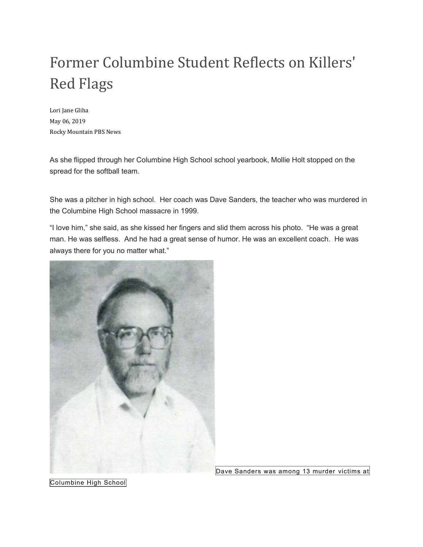## Former Columbine Student Reflects on Killers' Red Flags

Lori Jane Gliha May 06, 2019 Rocky Mountain PBS News

As she flipped through her Columbine High School school yearbook, Mollie Holt stopped on the spread for the softball team.

She was a pitcher in high school. Her coach was Dave Sanders, the teacher who was murdered in the Columbine High School massacre in 1999.

"I love him," she said, as she kissed her fingers and slid them across his photo. "He was a great man. He was selfless. And he had a great sense of humor. He was an excellent coach. He was always there for you no matter what."



Dave Sanders was among 13 murder victims at

Columbine High School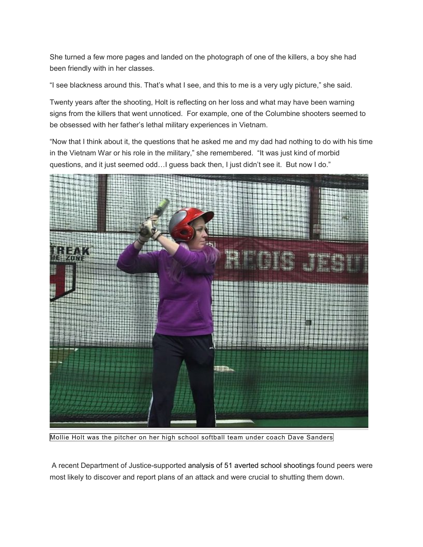She turned a few more pages and landed on the photograph of one of the killers, a boy she had been friendly with in her classes.

"I see blackness around this. That's what I see, and this to me is a very ugly picture," she said.

Twenty years after the shooting, Holt is reflecting on her loss and what may have been warning signs from the killers that went unnoticed. For example, one of the Columbine shooters seemed to be obsessed with her father's lethal military experiences in Vietnam.

"Now that I think about it, the questions that he asked me and my dad had nothing to do with his time in the Vietnam War or his role in the military," she remembered. "It was just kind of morbid questions, and it just seemed odd...I guess back then, I just didn't see it. But now I do."



Mollie Holt was the pitcher on her high school softball team under coach Dave Sanders

A recent Department of Justice-supported [analysis of 51 averted school shootings](https://ric-zai-inc.com/Publications/cops-w0871-pub.pdf) found peers were most likely to discover and report plans of an attack and were crucial to shutting them down.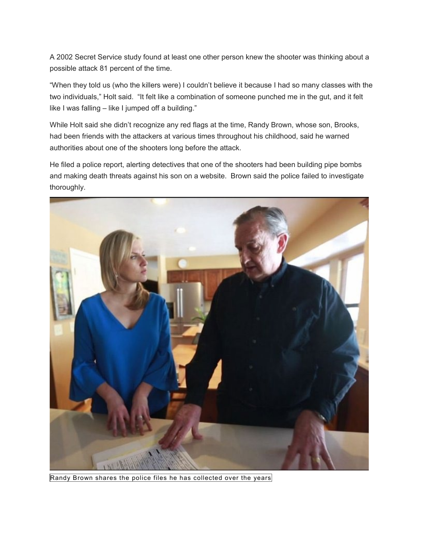A 2002 Secret Service study found at least one other person knew the shooter was thinking about a possible attack 81 percent of the time.

"When they told us (who the killers were) I couldn't believe it because I had so many classes with the two individuals," Holt said. "It felt like a combination of someone punched me in the gut, and it felt like I was falling – like I jumped off a building."

While Holt said she didn't recognize any red flags at the time, Randy Brown, whose son, Brooks, had been friends with the attackers at various times throughout his childhood, said he warned authorities about one of the shooters long before the attack.

He filed a police report, alerting detectives that one of the shooters had been building pipe bombs and making death threats against his son on a website. Brown said the police failed to investigate thoroughly.



Randy Brown shares the police files he has collected over the years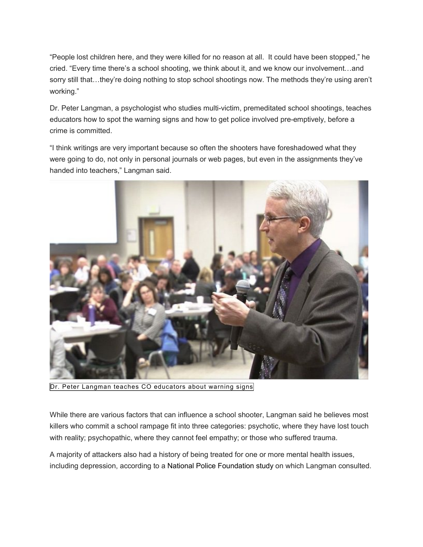"People lost children here, and they were killed for no reason at all. It could have been stopped," he cried. "Every time there's a school shooting, we think about it, and we know our involvement…and sorry still that...they're doing nothing to stop school shootings now. The methods they're using aren't working."

Dr. Peter Langman, a psychologist who studies multi-victim, premeditated school shootings, teaches educators how to spot the warning signs and how to get police involved pre-emptively, before a crime is committed.

"I think writings are very important because so often the shooters have foreshadowed what they were going to do, not only in personal journals or web pages, but even in the assignments they've handed into teachers," Langman said.



Dr. Peter Langman teaches CO educators about warning signs

While there are various factors that can influence a school shooter, Langman said he believes most killers who commit a school rampage fit into three categories: psychotic, where they have lost touch with reality; psychopathic, where they cannot feel empathy; or those who suffered trauma.

A majority of attackers also had a history of being treated for one or more mental health issues, including depression, according to a [National Police Foundation study](https://ric-zai-inc.com/Publications/cops-w0870-pub.pdf) on which Langman consulted.